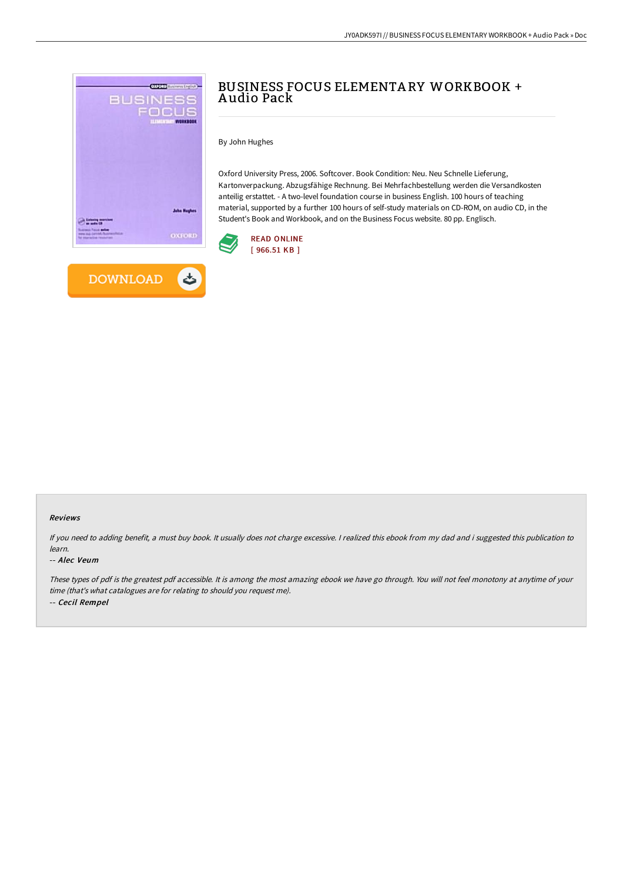

**DOWNLOAD** 

 $\rightarrow$ 



By John Hughes

Oxford University Press, 2006. Softcover. Book Condition: Neu. Neu Schnelle Lieferung, Kartonverpackung. Abzugsfähige Rechnung. Bei Mehrfachbestellung werden die Versandkosten anteilig erstattet. - A two-level foundation course in business English. 100 hours of teaching material, supported by a further 100 hours of self-study materials on CD-ROM, on audio CD, in the Student's Book and Workbook, and on the Business Focus website. 80 pp. Englisch.



#### Reviews

If you need to adding benefit, <sup>a</sup> must buy book. It usually does not charge excessive. <sup>I</sup> realized this ebook from my dad and i suggested this publication to learn.

#### -- Alec Veum

These types of pdf is the greatest pdf accessible. It is among the most amazing ebook we have go through. You will not feel monotony at anytime of your time (that's what catalogues are for relating to should you request me). -- Cecil Rempel